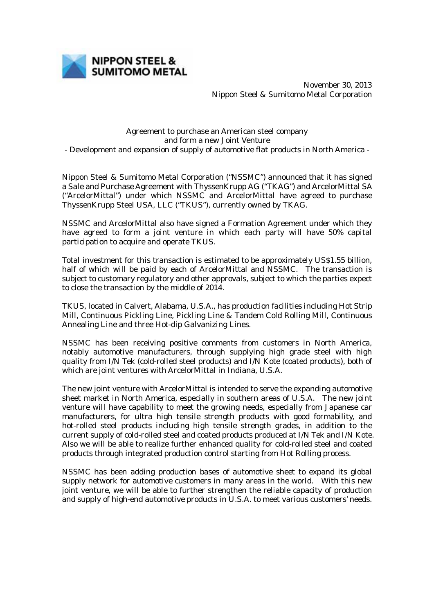

November 30, 2013 Nippon Steel & Sumitomo Metal Corporation

## Agreement to purchase an American steel company and form a new Joint Venture - Development and expansion of supply of automotive flat products in North America -

Nippon Steel & Sumitomo Metal Corporation ("NSSMC") announced that it has signed a Sale and Purchase Agreement with ThyssenKrupp AG ("TKAG") and ArcelorMittal SA ("ArcelorMittal") under which NSSMC and ArcelorMittal have agreed to purchase ThyssenKrupp Steel USA, LLC ("TKUS"), currently owned by TKAG.

NSSMC and ArcelorMittal also have signed a Formation Agreement under which they have agreed to form a joint venture in which each party will have 50% capital participation to acquire and operate TKUS.

Total investment for this transaction is estimated to be approximately US\$1.55 billion, half of which will be paid by each of ArcelorMittal and NSSMC. The transaction is subject to customary regulatory and other approvals, subject to which the parties expect to close the transaction by the middle of 2014.

TKUS, located in Calvert, Alabama, U.S.A., has production facilities including Hot Strip Mill, Continuous Pickling Line, Pickling Line & Tandem Cold Rolling Mill, Continuous Annealing Line and three Hot-dip Galvanizing Lines.

NSSMC has been receiving positive comments from customers in North America, notably automotive manufacturers, through supplying high grade steel with high quality from I/N Tek (cold-rolled steel products) and I/N Kote (coated products), both of which are joint ventures with ArcelorMittal in Indiana, U.S.A.

The new joint venture with ArcelorMittal is intended to serve the expanding automotive sheet market in North America, especially in southern areas of U.S.A. The new joint venture will have capability to meet the growing needs, especially from Japanese car manufacturers, for ultra high tensile strength products with good formability, and hot-rolled steel products including high tensile strength grades, in addition to the current supply of cold-rolled steel and coated products produced at I/N Tek and I/N Kote. Also we will be able to realize further enhanced quality for cold-rolled steel and coated products through integrated production control starting from Hot Rolling process.

NSSMC has been adding production bases of automotive sheet to expand its global supply network for automotive customers in many areas in the world. With this new joint venture, we will be able to further strengthen the reliable capacity of production and supply of high-end automotive products in U.S.A. to meet various customers' needs.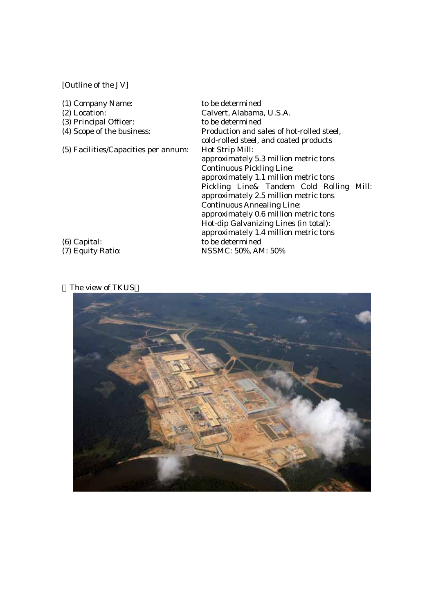## [Outline of the JV]

| (1) Company Name:                    | to be determined                          |
|--------------------------------------|-------------------------------------------|
| $(2)$ Location:                      | Calvert, Alabama, U.S.A.                  |
| (3) Principal Officer:               | to be determined                          |
| (4) Scope of the business:           | Production and sales of hot-rolled steel, |
|                                      | cold-rolled steel, and coated products    |
| (5) Facilities/Capacities per annum: | Hot Strip Mill:                           |
|                                      | approximately 5.3 million metric tons     |
|                                      | <b>Continuous Pickling Line:</b>          |
|                                      | approximately 1.1 million metric tons     |
|                                      | Pickling Line& Tandem Cold Rolling Mill:  |
|                                      | approximately 2.5 million metric tons     |
|                                      | <b>Continuous Annealing Line:</b>         |
|                                      | approximately 0.6 million metric tons     |
|                                      | Hot-dip Galvanizing Lines (in total):     |
|                                      | approximately 1.4 million metric tons     |
| $(6)$ Capital:                       | to be determined                          |
| (7) Equity Ratio:                    | NSSMC: 50%, AM: 50%                       |

## The view of TKUS

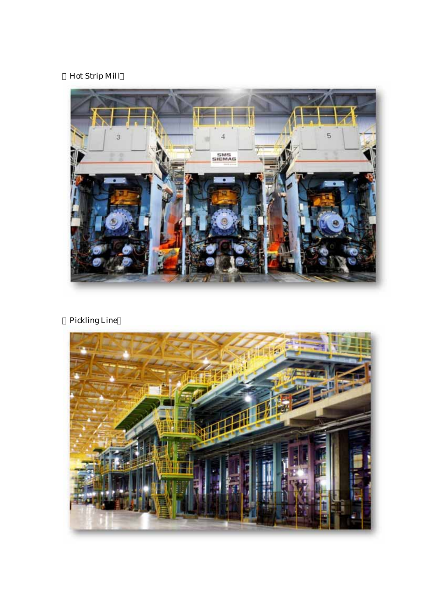## Hot Strip Mill



Pickling Line